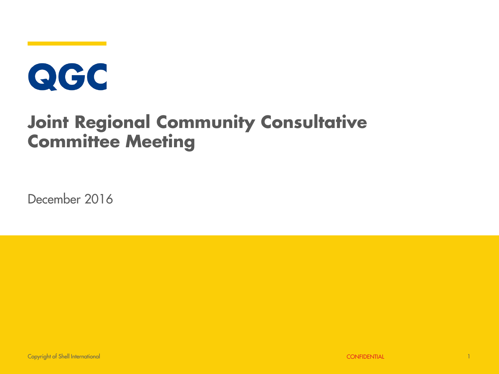# QGC

#### **Joint Regional Community Consultative Committee Meeting**

December 2016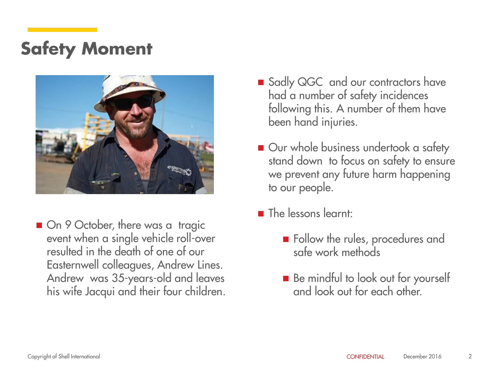#### **Safety Moment**



■ On 9 October, there was a tragic event when a single vehicle roll-over resulted in the death of one of our Easternwell colleagues, Andrew Lines. Andrew was 35-years-old and leaves his wife Jacqui and their four children.

- Sadly QGC and our contractors have had a number of safety incidences following this. A number of them have been hand injuries.
- Our whole business undertook a safety stand down to focus on safety to ensure we prevent any future harm happening to our people.
- **The lessons learnt:** 
	- **Follow the rules, procedures and** safe work methods
	- Be mindful to look out for yourself and look out for each other.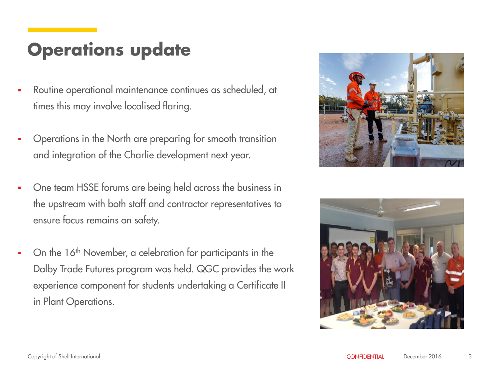#### **Operations update**

- Routine operational maintenance continues as scheduled, at times this may involve localised flaring.
- Operations in the North are preparing for smooth transition and integration of the Charlie development next year.
- One team HSSE forums are being held across the business in the upstream with both staff and contractor representatives to ensure focus remains on safety.
- On the 16<sup>th</sup> November, a celebration for participants in the Dalby Trade Futures program was held. QGC provides the work experience component for students undertaking a Certificate II in Plant Operations.



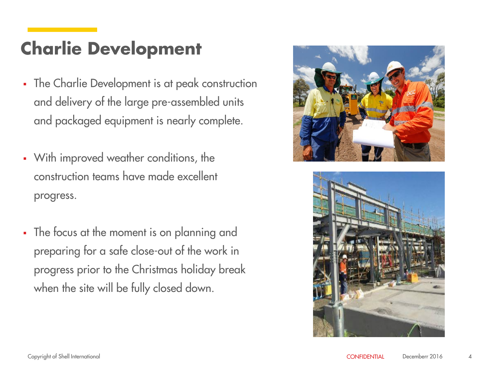#### **Charlie Development**

- The Charlie Development is at peak construction and delivery of the large pre-assembled units and packaged equipment is nearly complete.
- With improved weather conditions, the construction teams have made excellent progress.
- The focus at the moment is on planning and preparing for a safe close-out of the work in progress prior to the Christmas holiday break when the site will be fully closed down.



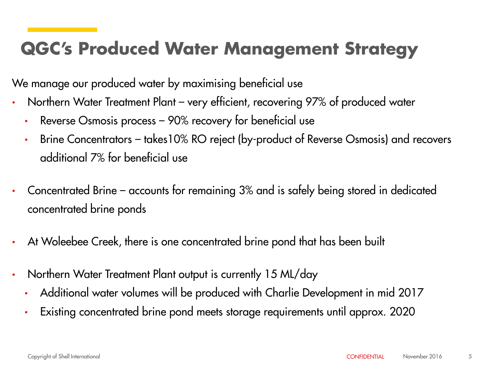#### **QGC's Produced Water Management Strategy**

We manage our produced water by maximising beneficial use

- Northern Water Treatment Plant very efficient, recovering 97% of produced water
	- Reverse Osmosis process 90% recovery for beneficial use
	- Brine Concentrators takes10% RO reject (by-product of Reverse Osmosis) and recovers additional 7% for beneficial use
- Concentrated Brine accounts for remaining 3% and is safely being stored in dedicated concentrated brine ponds
- At Woleebee Creek, there is one concentrated brine pond that has been built
- Northern Water Treatment Plant output is currently 15 ML/day
	- Additional water volumes will be produced with Charlie Development in mid 2017
	- Existing concentrated brine pond meets storage requirements until approx. 2020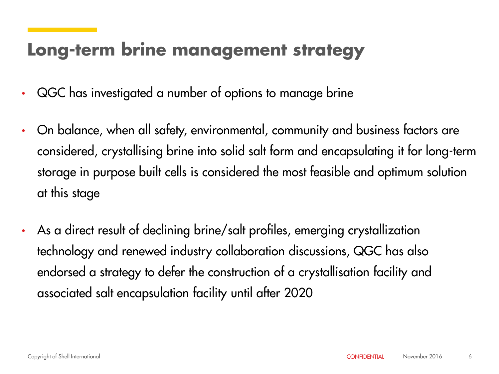#### **Long-term brine management strategy**

- QGC has investigated a number of options to manage brine
- On balance, when all safety, environmental, community and business factors are considered, crystallising brine into solid salt form and encapsulating it for long-term storage in purpose built cells is considered the most feasible and optimum solution at this stage
- As a direct result of declining brine/salt profiles, emerging crystallization technology and renewed industry collaboration discussions, QGC has also endorsed a strategy to defer the construction of a crystallisation facility and associated salt encapsulation facility until after 2020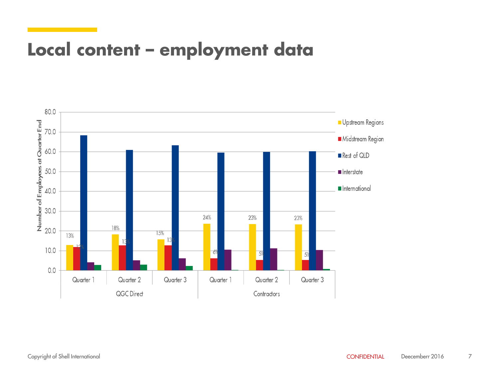#### **Local content – employment data**

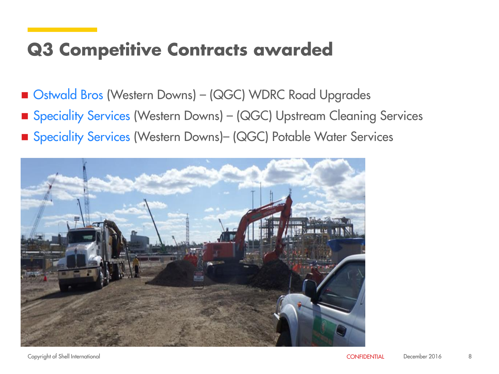#### **Q3 Competitive Contracts awarded**

- Ostwald Bros (Western Downs) (QGC) WDRC Road Upgrades
- Speciality Services (Western Downs) (QGC) Upstream Cleaning Services
- Speciality Services (Western Downs)- (QGC) Potable Water Services

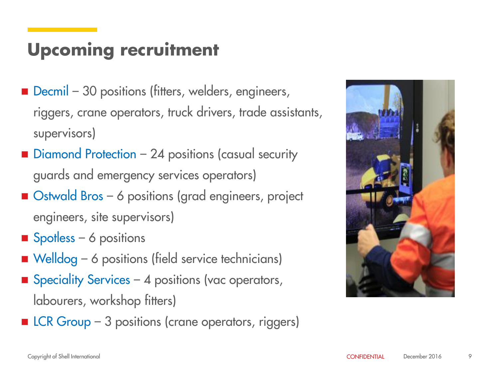#### **Upcoming recruitment**

- Decmil 30 positions (fitters, welders, engineers, riggers, crane operators, truck drivers, trade assistants, supervisors)
- Diamond Protection 24 positions (casual security guards and emergency services operators)
- Ostwald Bros 6 positions (grad engineers, project engineers, site supervisors)
- Spotless 6 positions
- Welldog 6 positions (field service technicians)
- Speciality Services 4 positions (vac operators, labourers, workshop fitters)
- $\blacksquare$  LCR Group 3 positions (crane operators, riggers)

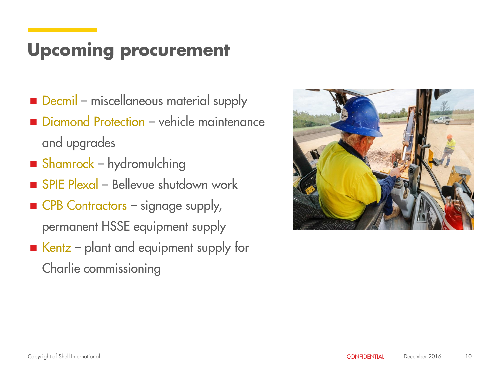#### **Upcoming procurement**

- Decmil miscellaneous material supply
- Diamond Protection vehicle maintenance and upgrades
- Shamrock hydromulching
- SPIE Plexal Bellevue shutdown work
- CPB Contractors signage supply, permanent HSSE equipment supply
- $\blacksquare$  Kentz plant and equipment supply for Charlie commissioning

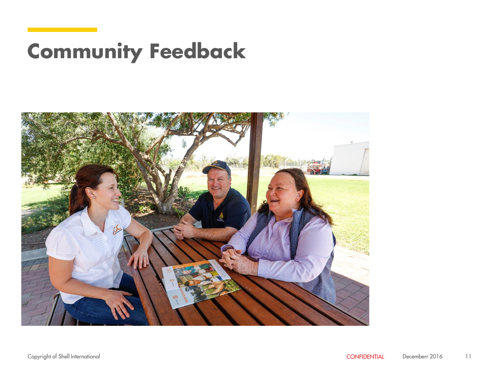## **Community Feedback**

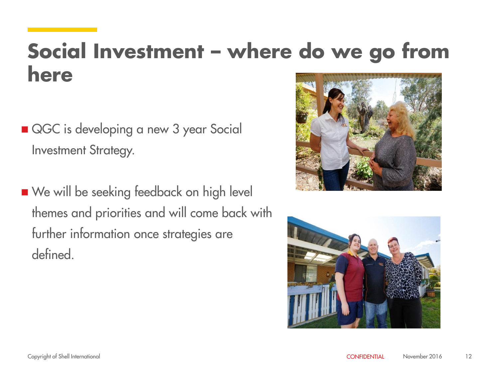### **Social Investment – where do we go from here**

- QGC is developing a new 3 year Social Investment Strategy.
- We will be seeking feedback on high level themes and priorities and will come back with further information once strategies are defined.



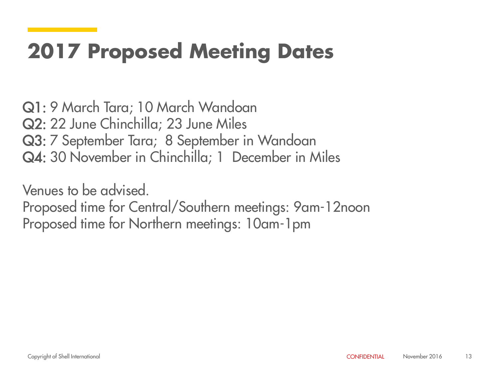## **2017 Proposed Meeting Dates**

Q1: 9 March Tara; 10 March Wandoan Q2: 22 June Chinchilla; 23 June Miles Q3: 7 September Tara; 8 September in Wandoan Q4: 30 November in Chinchilla; 1 December in Miles

Venues to be advised. Proposed time for Central/Southern meetings: 9am-12noon Proposed time for Northern meetings: 10am-1pm